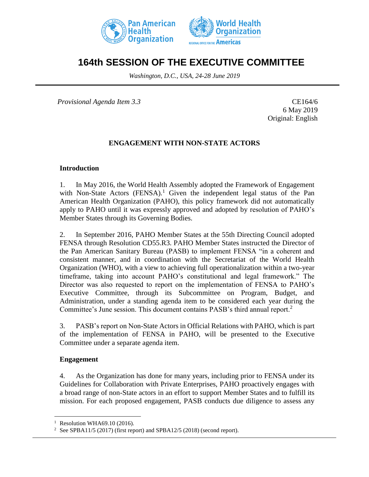



# **164th SESSION OF THE EXECUTIVE COMMITTEE**

*Washington, D.C., USA, 24-28 June 2019*

*Provisional Agenda Item 3.3* CE164/6

6 May 2019 Original: English

# **ENGAGEMENT WITH NON-STATE ACTORS**

### **Introduction**

1. In May 2016, the World Health Assembly adopted the Framework of Engagement with Non-State Actors  $(FENSA)^1$ . Given the independent legal status of the Pan American Health Organization (PAHO), this policy framework did not automatically apply to PAHO until it was expressly approved and adopted by resolution of PAHO's Member States through its Governing Bodies.

2. In September 2016, PAHO Member States at the 55th Directing Council adopted FENSA through Resolution CD55.R3. PAHO Member States instructed the Director of the Pan American Sanitary Bureau (PASB) to implement FENSA "in a coherent and consistent manner, and in coordination with the Secretariat of the World Health Organization (WHO), with a view to achieving full operationalization within a two-year timeframe, taking into account PAHO's constitutional and legal framework." The Director was also requested to report on the implementation of FENSA to PAHO's Executive Committee, through its Subcommittee on Program, Budget, and Administration, under a standing agenda item to be considered each year during the Committee's June session. This document contains PASB's third annual report.<sup>2</sup>

3. PASB's report on Non-State Actors in Official Relations with PAHO, which is part of the implementation of FENSA in PAHO, will be presented to the Executive Committee under a separate agenda item.

### **Engagement**

 $\overline{a}$ 

4. As the Organization has done for many years, including prior to FENSA under its Guidelines for Collaboration with Private Enterprises, PAHO proactively engages with a broad range of non-State actors in an effort to support Member States and to fulfill its mission. For each proposed engagement, PASB conducts due diligence to assess any

<sup>&</sup>lt;sup>1</sup> Resolution WHA69.10 (2016).

<sup>2</sup> See SPBA11/5 (2017) (first report) and SPBA12/5 (2018) (second report).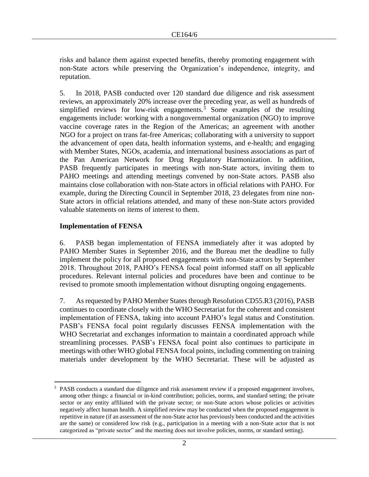risks and balance them against expected benefits, thereby promoting engagement with non-State actors while preserving the Organization's independence, integrity, and reputation.

5. In 2018, PASB conducted over 120 standard due diligence and risk assessment reviews, an approximately 20% increase over the preceding year, as well as hundreds of simplified reviews for low-risk engagements.<sup>3</sup> Some examples of the resulting engagements include: working with a nongovernmental organization (NGO) to improve vaccine coverage rates in the Region of the Americas; an agreement with another NGO for a project on trans fat-free Americas; collaborating with a university to support the advancement of open data, health information systems, and e-health; and engaging with Member States, NGOs, academia, and international business associations as part of the Pan American Network for Drug Regulatory Harmonization. In addition, PASB frequently participates in meetings with non-State actors, inviting them to PAHO meetings and attending meetings convened by non-State actors. PASB also maintains close collaboration with non-State actors in official relations with PAHO. For example, during the Directing Council in September 2018, 23 delegates from nine non-State actors in official relations attended, and many of these non-State actors provided valuable statements on items of interest to them.

# **Implementation of FENSA**

6. PASB began implementation of FENSA immediately after it was adopted by PAHO Member States in September 2016, and the Bureau met the deadline to fully implement the policy for all proposed engagements with non-State actors by September 2018. Throughout 2018, PAHO's FENSA focal point informed staff on all applicable procedures. Relevant internal policies and procedures have been and continue to be revised to promote smooth implementation without disrupting ongoing engagements.

7. As requested by PAHO Member States through Resolution CD55.R3 (2016), PASB continues to coordinate closely with the WHO Secretariat for the coherent and consistent implementation of FENSA, taking into account PAHO's legal status and Constitution. PASB's FENSA focal point regularly discusses FENSA implementation with the WHO Secretariat and exchanges information to maintain a coordinated approach while streamlining processes. PASB's FENSA focal point also continues to participate in meetings with other WHO global FENSA focal points, including commenting on training materials under development by the WHO Secretariat. These will be adjusted as

 $\overline{a}$ <sup>3</sup> PASB conducts a standard due diligence and risk assessment review if a proposed engagement involves, among other things: a financial or in-kind contribution; policies, norms, and standard setting; the private sector or any entity affiliated with the private sector; or non-State actors whose policies or activities negatively affect human health. A simplified review may be conducted when the proposed engagement is repetitive in nature (if an assessment of the non-State actor has previously been conducted and the activities are the same) or considered low risk (e.g., participation in a meeting with a non-State actor that is not categorized as "private sector" and the meeting does not involve policies, norms, or standard setting).